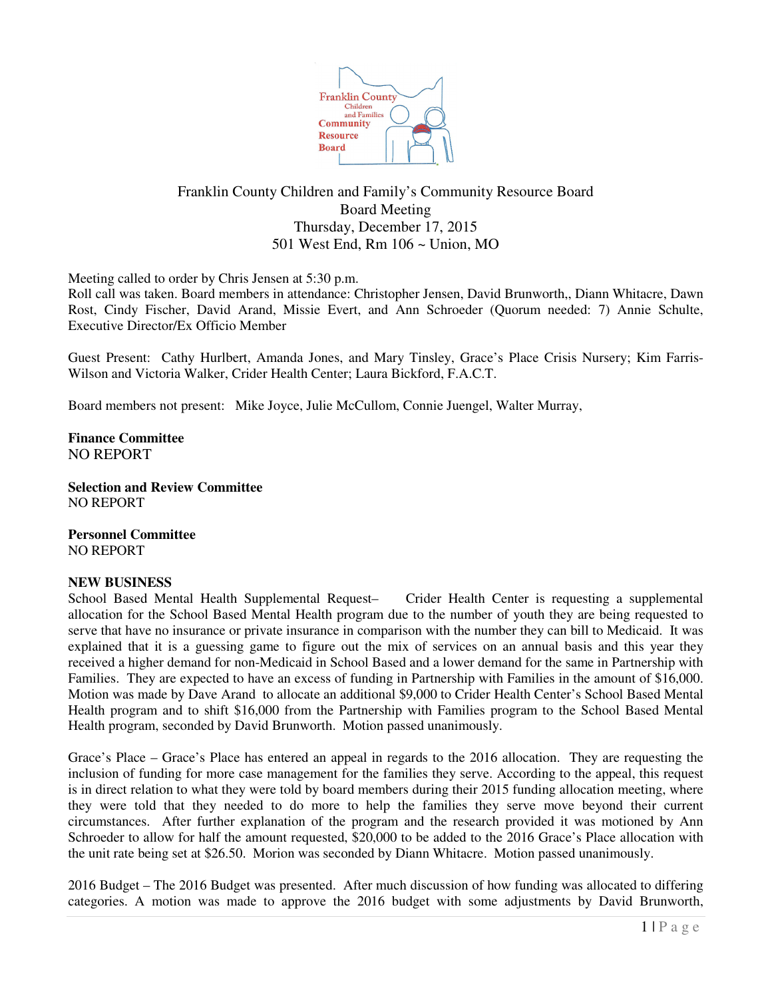

## Franklin County Children and Family's Community Resource Board Board Meeting Thursday, December 17, 2015 501 West End, Rm 106 ~ Union, MO

Meeting called to order by Chris Jensen at 5:30 p.m.

Roll call was taken. Board members in attendance: Christopher Jensen, David Brunworth,, Diann Whitacre, Dawn Rost, Cindy Fischer, David Arand, Missie Evert, and Ann Schroeder (Quorum needed: 7) Annie Schulte, Executive Director/Ex Officio Member

Guest Present: Cathy Hurlbert, Amanda Jones, and Mary Tinsley, Grace's Place Crisis Nursery; Kim Farris-Wilson and Victoria Walker, Crider Health Center; Laura Bickford, F.A.C.T.

Board members not present: Mike Joyce, Julie McCullom, Connie Juengel, Walter Murray,

**Finance Committee** NO REPORT

**Selection and Review Committee** NO REPORT

**Personnel Committee** NO REPORT

## **NEW BUSINESS**

School Based Mental Health Supplemental Request– Crider Health Center is requesting a supplemental allocation for the School Based Mental Health program due to the number of youth they are being requested to serve that have no insurance or private insurance in comparison with the number they can bill to Medicaid. It was explained that it is a guessing game to figure out the mix of services on an annual basis and this year they received a higher demand for non-Medicaid in School Based and a lower demand for the same in Partnership with Families. They are expected to have an excess of funding in Partnership with Families in the amount of \$16,000. Motion was made by Dave Arand to allocate an additional \$9,000 to Crider Health Center's School Based Mental Health program and to shift \$16,000 from the Partnership with Families program to the School Based Mental Health program, seconded by David Brunworth. Motion passed unanimously.

Grace's Place – Grace's Place has entered an appeal in regards to the 2016 allocation. They are requesting the inclusion of funding for more case management for the families they serve. According to the appeal, this request is in direct relation to what they were told by board members during their 2015 funding allocation meeting, where they were told that they needed to do more to help the families they serve move beyond their current circumstances. After further explanation of the program and the research provided it was motioned by Ann Schroeder to allow for half the amount requested, \$20,000 to be added to the 2016 Grace's Place allocation with the unit rate being set at \$26.50. Morion was seconded by Diann Whitacre. Motion passed unanimously.

2016 Budget – The 2016 Budget was presented. After much discussion of how funding was allocated to differing categories. A motion was made to approve the 2016 budget with some adjustments by David Brunworth,